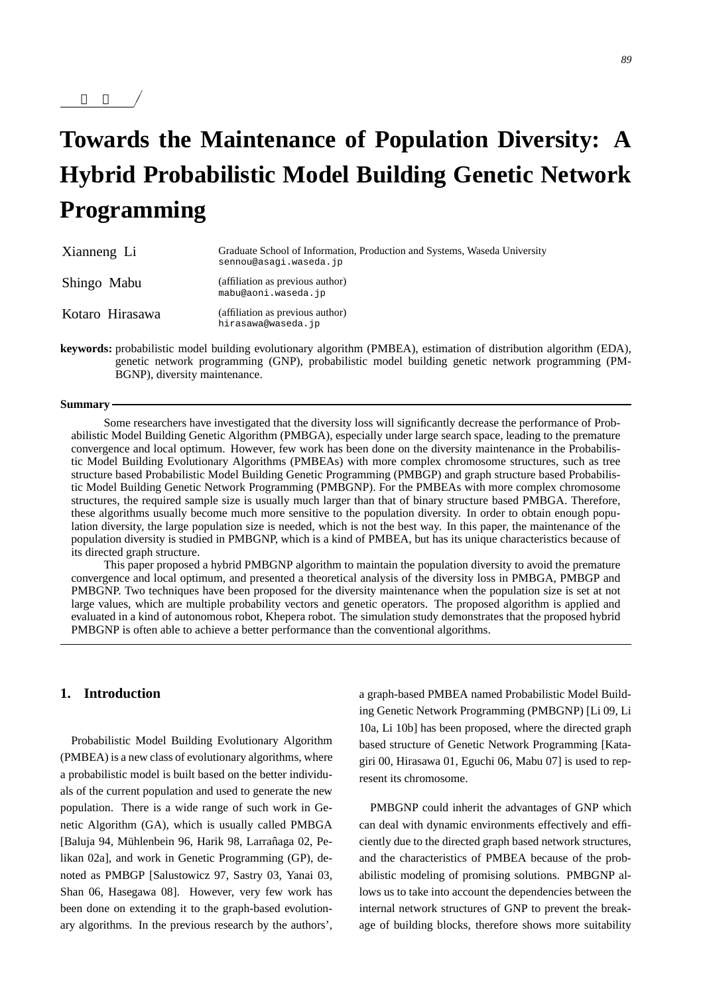# **Towards the Maintenance of Population Diversity: A Hybrid Probabilistic Model Building Genetic Network Programming**

| Xianneng Li     | Graduate School of Information, Production and Systems, Waseda University<br>sennou@asagi.waseda.jp |
|-----------------|-----------------------------------------------------------------------------------------------------|
| Shingo Mabu     | (affiliation as previous author)<br>mabu@aoni.waseda.jp                                             |
| Kotaro Hirasawa | (affiliation as previous author)<br>hirasawa@waseda.jp                                              |

**keywords:** probabilistic model building evolutionary algorithm (PMBEA), estimation of distribution algorithm (EDA), genetic network programming (GNP), probabilistic model building genetic network programming (PM-BGNP), diversity maintenance.

#### **Summary**

 $\overline{\phantom{a}}$ 

 $\overline{\phantom{a}}$ 

Some researchers have investigated that the diversity loss will significantly decrease the performance of Probabilistic Model Building Genetic Algorithm (PMBGA), especially under large search space, leading to the premature convergence and local optimum. However, few work has been done on the diversity maintenance in the Probabilistic Model Building Evolutionary Algorithms (PMBEAs) with more complex chromosome structures, such as tree structure based Probabilistic Model Building Genetic Programming (PMBGP) and graph structure based Probabilistic Model Building Genetic Network Programming (PMBGNP). For the PMBEAs with more complex chromosome structures, the required sample size is usually much larger than that of binary structure based PMBGA. Therefore, these algorithms usually become much more sensitive to the population diversity. In order to obtain enough population diversity, the large population size is needed, which is not the best way. In this paper, the maintenance of the population diversity is studied in PMBGNP, which is a kind of PMBEA, but has its unique characteristics because of its directed graph structure.

This paper proposed a hybrid PMBGNP algorithm to maintain the population diversity to avoid the premature convergence and local optimum, and presented a theoretical analysis of the diversity loss in PMBGA, PMBGP and PMBGNP. Two techniques have been proposed for the diversity maintenance when the population size is set at not large values, which are multiple probability vectors and genetic operators. The proposed algorithm is applied and evaluated in a kind of autonomous robot, Khepera robot. The simulation study demonstrates that the proposed hybrid PMBGNP is often able to achieve a better performance than the conventional algorithms.

# **1. Introduction**

Probabilistic Model Building Evolutionary Algorithm (PMBEA) is a new class of evolutionary algorithms, where a probabilistic model is built based on the better individuals of the current population and used to generate the new population. There is a wide range of such work in Genetic Algorithm (GA), which is usually called PMBGA [Baluja 94, Mühlenbein 96, Harik 98, Larrañaga 02, Pelikan 02a], and work in Genetic Programming (GP), denoted as PMBGP [Salustowicz 97, Sastry 03, Yanai 03, Shan 06, Hasegawa 08]. However, very few work has been done on extending it to the graph-based evolutionary algorithms. In the previous research by the authors',

a graph-based PMBEA named Probabilistic Model Building Genetic Network Programming (PMBGNP) [Li 09, Li 10a, Li 10b] has been proposed, where the directed graph based structure of Genetic Network Programming [Katagiri 00, Hirasawa 01, Eguchi 06, Mabu 07] is used to represent its chromosome.

PMBGNP could inherit the advantages of GNP which can deal with dynamic environments effectively and efficiently due to the directed graph based network structures, and the characteristics of PMBEA because of the probabilistic modeling of promising solutions. PMBGNP allows us to take into account the dependencies between the internal network structures of GNP to prevent the breakage of building blocks, therefore shows more suitability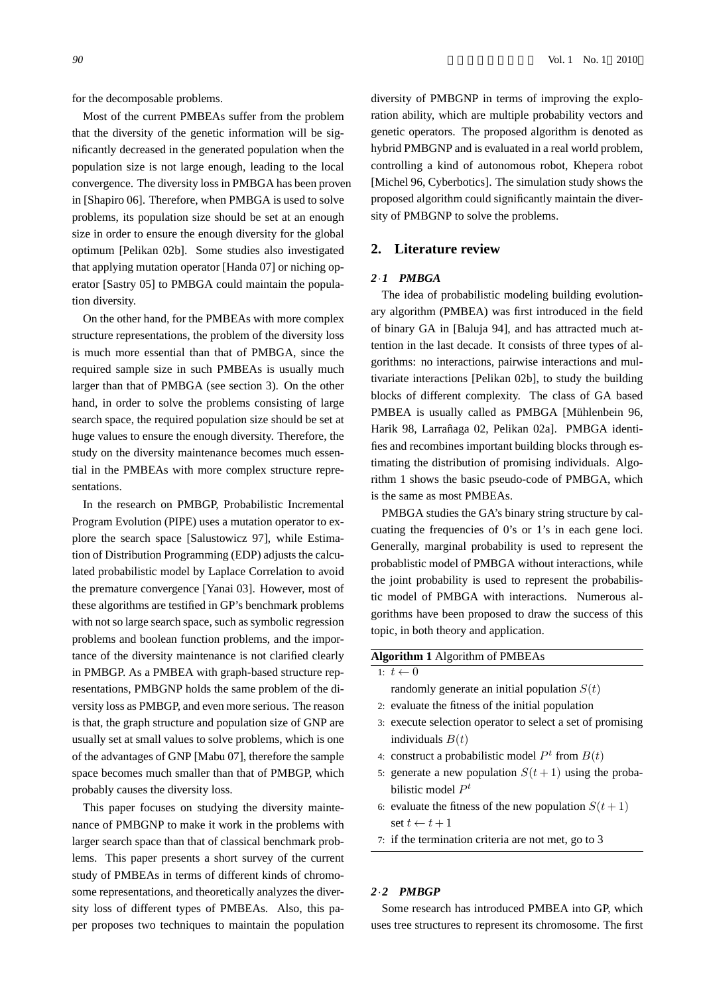for the decomposable problems.

Most of the current PMBEAs suffer from the problem that the diversity of the genetic information will be significantly decreased in the generated population when the population size is not large enough, leading to the local convergence. The diversity loss in PMBGA has been proven in [Shapiro 06]. Therefore, when PMBGA is used to solve problems, its population size should be set at an enough size in order to ensure the enough diversity for the global optimum [Pelikan 02b]. Some studies also investigated that applying mutation operator [Handa 07] or niching operator [Sastry 05] to PMBGA could maintain the population diversity.

On the other hand, for the PMBEAs with more complex structure representations, the problem of the diversity loss is much more essential than that of PMBGA, since the required sample size in such PMBEAs is usually much larger than that of PMBGA (see section 3). On the other hand, in order to solve the problems consisting of large search space, the required population size should be set at huge values to ensure the enough diversity. Therefore, the study on the diversity maintenance becomes much essential in the PMBEAs with more complex structure representations.

In the research on PMBGP, Probabilistic Incremental Program Evolution (PIPE) uses a mutation operator to explore the search space [Salustowicz 97], while Estimation of Distribution Programming (EDP) adjusts the calculated probabilistic model by Laplace Correlation to avoid the premature convergence [Yanai 03]. However, most of these algorithms are testified in GP's benchmark problems with not so large search space, such as symbolic regression problems and boolean function problems, and the importance of the diversity maintenance is not clarified clearly in PMBGP. As a PMBEA with graph-based structure representations, PMBGNP holds the same problem of the diversity loss as PMBGP, and even more serious. The reason is that, the graph structure and population size of GNP are usually set at small values to solve problems, which is one of the advantages of GNP [Mabu 07], therefore the sample space becomes much smaller than that of PMBGP, which probably causes the diversity loss.

This paper focuses on studying the diversity maintenance of PMBGNP to make it work in the problems with larger search space than that of classical benchmark problems. This paper presents a short survey of the current study of PMBEAs in terms of different kinds of chromosome representations, and theoretically analyzes the diversity loss of different types of PMBEAs. Also, this paper proposes two techniques to maintain the population diversity of PMBGNP in terms of improving the exploration ability, which are multiple probability vectors and genetic operators. The proposed algorithm is denoted as hybrid PMBGNP and is evaluated in a real world problem, controlling a kind of autonomous robot, Khepera robot [Michel 96, Cyberbotics]. The simulation study shows the proposed algorithm could significantly maintain the diversity of PMBGNP to solve the problems.

## **2. Literature review**

## *2·1 PMBGA*

The idea of probabilistic modeling building evolutionary algorithm (PMBEA) was first introduced in the field of binary GA in [Baluja 94], and has attracted much attention in the last decade. It consists of three types of algorithms: no interactions, pairwise interactions and multivariate interactions [Pelikan 02b], to study the building blocks of different complexity. The class of GA based PMBEA is usually called as PMBGA [Mühlenbein 96, Harik 98, Larrañaga 02, Pelikan 02a]. PMBGA identifies and recombines important building blocks through estimating the distribution of promising individuals. Algorithm 1 shows the basic pseudo-code of PMBGA, which is the same as most PMBEAs.

PMBGA studies the GA's binary string structure by calcuating the frequencies of 0's or 1's in each gene loci. Generally, marginal probability is used to represent the probablistic model of PMBGA without interactions, while the joint probability is used to represent the probabilistic model of PMBGA with interactions. Numerous algorithms have been proposed to draw the success of this topic, in both theory and application.

#### **Algorithm 1** Algorithm of PMBEAs

1:  $t \leftarrow 0$ 

randomly generate an initial population  $S(t)$ 

- 2: evaluate the fitness of the initial population
- 3: execute selection operator to select a set of promising individuals  $B(t)$
- 4: construct a probabilistic model  $P<sup>t</sup>$  from  $B(t)$
- 5: generate a new population  $S(t+1)$  using the probabilistic model *P t*
- 6: evaluate the fitness of the new population  $S(t+1)$ set  $t \leftarrow t + 1$
- 7: if the termination criteria are not met, go to 3

#### *2·2 PMBGP*

Some research has introduced PMBEA into GP, which uses tree structures to represent its chromosome. The first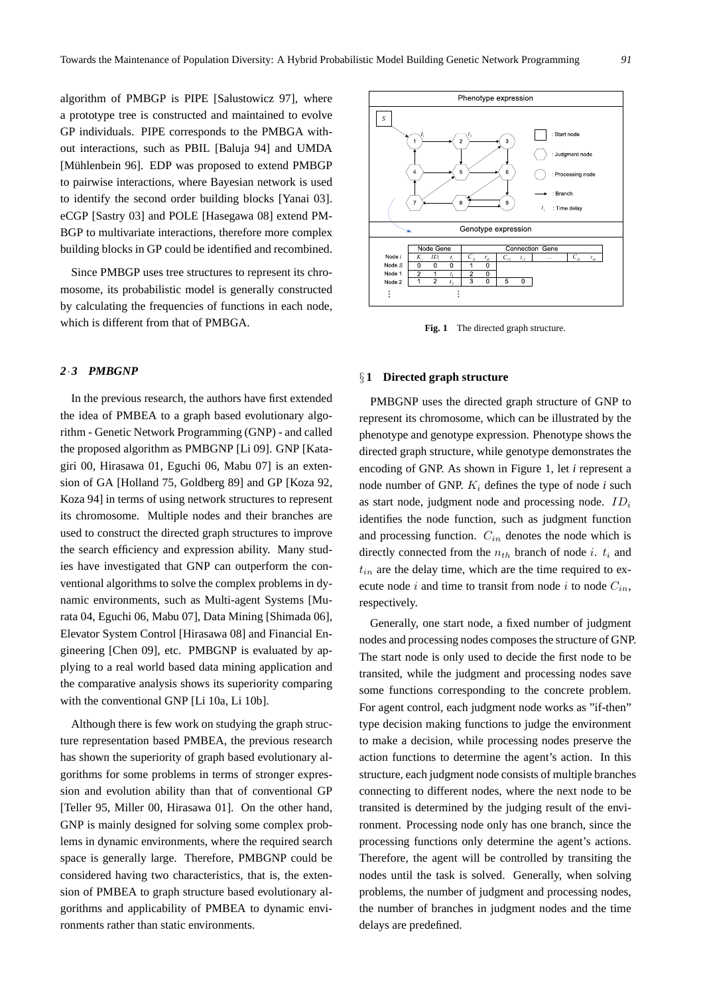algorithm of PMBGP is PIPE [Salustowicz 97], where a prototype tree is constructed and maintained to evolve GP individuals. PIPE corresponds to the PMBGA without interactions, such as PBIL [Baluja 94] and UMDA [Mühlenbein 96]. EDP was proposed to extend PMBGP to pairwise interactions, where Bayesian network is used to identify the second order building blocks [Yanai 03]. eCGP [Sastry 03] and POLE [Hasegawa 08] extend PM-BGP to multivariate interactions, therefore more complex building blocks in GP could be identified and recombined.

Since PMBGP uses tree structures to represent its chromosome, its probabilistic model is generally constructed by calculating the frequencies of functions in each node, which is different from that of PMBGA.

# *2·3 PMBGNP*

In the previous research, the authors have first extended the idea of PMBEA to a graph based evolutionary algorithm - Genetic Network Programming (GNP) - and called the proposed algorithm as PMBGNP [Li 09]. GNP [Katagiri 00, Hirasawa 01, Eguchi 06, Mabu 07] is an extension of GA [Holland 75, Goldberg 89] and GP [Koza 92, Koza 94] in terms of using network structures to represent its chromosome. Multiple nodes and their branches are used to construct the directed graph structures to improve the search efficiency and expression ability. Many studies have investigated that GNP can outperform the conventional algorithms to solve the complex problems in dynamic environments, such as Multi-agent Systems [Murata 04, Eguchi 06, Mabu 07], Data Mining [Shimada 06], Elevator System Control [Hirasawa 08] and Financial Engineering [Chen 09], etc. PMBGNP is evaluated by applying to a real world based data mining application and the comparative analysis shows its superiority comparing with the conventional GNP [Li 10a, Li 10b].

Although there is few work on studying the graph structure representation based PMBEA, the previous research has shown the superiority of graph based evolutionary algorithms for some problems in terms of stronger expression and evolution ability than that of conventional GP [Teller 95, Miller 00, Hirasawa 01]. On the other hand, GNP is mainly designed for solving some complex problems in dynamic environments, where the required search space is generally large. Therefore, PMBGNP could be considered having two characteristics, that is, the extension of PMBEA to graph structure based evolutionary algorithms and applicability of PMBEA to dynamic environments rather than static environments.



Fig. 1 The directed graph structure.

#### *§* **1 Directed graph structure**

PMBGNP uses the directed graph structure of GNP to represent its chromosome, which can be illustrated by the phenotype and genotype expression. Phenotype shows the directed graph structure, while genotype demonstrates the encoding of GNP. As shown in Figure 1, let *i* represent a node number of GNP. *K<sup>i</sup>* defines the type of node *i* such as start node, judgment node and processing node. *ID<sup>i</sup>* identifies the node function, such as judgment function and processing function. *Cin* denotes the node which is directly connected from the  $n_{th}$  branch of node *i*.  $t_i$  and  $t_{in}$  are the delay time, which are the time required to execute node *i* and time to transit from node *i* to node  $C_{in}$ , respectively.

Generally, one start node, a fixed number of judgment nodes and processing nodes composes the structure of GNP. The start node is only used to decide the first node to be transited, while the judgment and processing nodes save some functions corresponding to the concrete problem. For agent control, each judgment node works as "if-then" type decision making functions to judge the environment to make a decision, while processing nodes preserve the action functions to determine the agent's action. In this structure, each judgment node consists of multiple branches connecting to different nodes, where the next node to be transited is determined by the judging result of the environment. Processing node only has one branch, since the processing functions only determine the agent's actions. Therefore, the agent will be controlled by transiting the nodes until the task is solved. Generally, when solving problems, the number of judgment and processing nodes, the number of branches in judgment nodes and the time delays are predefined.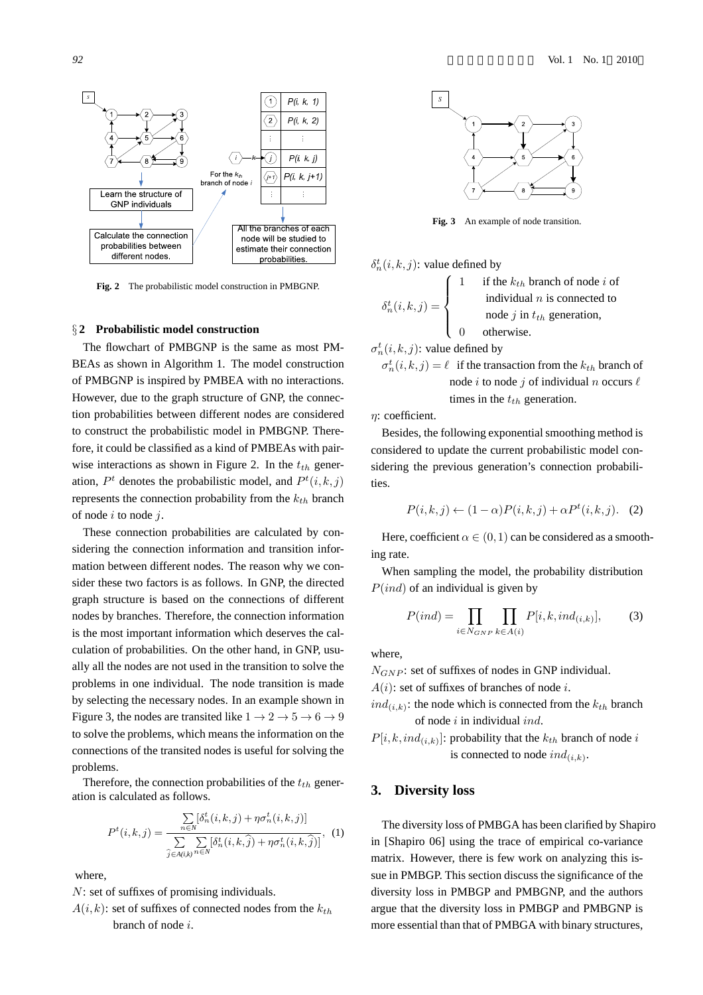

**Fig. 2** The probabilistic model construction in PMBGNP.

# *§* **2 Probabilistic model construction**

The flowchart of PMBGNP is the same as most PM-BEAs as shown in Algorithm 1. The model construction of PMBGNP is inspired by PMBEA with no interactions. However, due to the graph structure of GNP, the connection probabilities between different nodes are considered to construct the probabilistic model in PMBGNP. Therefore, it could be classified as a kind of PMBEAs with pairwise interactions as shown in Figure 2. In the *tth* generation,  $P<sup>t</sup>$  denotes the probabilistic model, and  $P<sup>t</sup>(i, k, j)$ represents the connection probability from the *kth* branch of node *i* to node *j*.

These connection probabilities are calculated by considering the connection information and transition information between different nodes. The reason why we consider these two factors is as follows. In GNP, the directed graph structure is based on the connections of different nodes by branches. Therefore, the connection information is the most important information which deserves the calculation of probabilities. On the other hand, in GNP, usually all the nodes are not used in the transition to solve the problems in one individual. The node transition is made by selecting the necessary nodes. In an example shown in Figure 3, the nodes are transited like  $1 \rightarrow 2 \rightarrow 5 \rightarrow 6 \rightarrow 9$ to solve the problems, which means the information on the connections of the transited nodes is useful for solving the problems.

Therefore, the connection probabilities of the *tth* generation is calculated as follows.

$$
P^{t}(i,k,j) = \frac{\sum\limits_{n \in N} [\delta_{n}^{t}(i,k,j) + \eta \sigma_{n}^{t}(i,k,j)]}{\sum\limits_{\hat{j} \in A(i,k)} \sum\limits_{n \in N} [\delta_{n}^{t}(i,k,\hat{j}) + \eta \sigma_{n}^{t}(i,k,\hat{j})]}, \quad (1)
$$

where,

*N*: set of suffixes of promising individuals.

 $A(i, k)$ : set of suffixes of connected nodes from the  $k_{th}$ branch of node *i*.



**Fig. 3** An example of node transition.

$$
\delta_n^t(i, k, j)
$$
: value defined by

$$
t_n^t(i,k,j) = \begin{cases} 1 & \text{if the } k_{th} \text{ branch of node } i \text{ of } \\ & \text{individual } n \text{ is connected to } \\ & \text{node } j \text{ in } t_{th} \text{ generation,} \\ 0 & \text{otherwise.} \end{cases}
$$

 $\sigma_n^t(i, k, j)$ : value defined by

 $\sigma_n^t(i, k, j) = \ell$  if the transaction from the  $k_{th}$  branch of node *i* to node *j* of individual *n* occurs *ℓ* times in the *tth* generation.

*η*: coefficient.

*δ t*

Besides, the following exponential smoothing method is considered to update the current probabilistic model considering the previous generation's connection probabilities.

$$
P(i,k,j) \leftarrow (1-\alpha)P(i,k,j) + \alpha P^t(i,k,j). \quad (2)
$$

Here, coefficient  $\alpha \in (0,1)$  can be considered as a smoothing rate.

When sampling the model, the probability distribution *P*(*ind*) of an individual is given by

$$
P(ind) = \prod_{i \in N_{GNP}} \prod_{k \in A(i)} P[i, k, ind_{(i,k)}],
$$
 (3)

where,

*N<sub>GNP</sub>*: set of suffixes of nodes in GNP individual.

*A*(*i*): set of suffixes of branches of node *i*.

 $ind_{(i,k)}$ : the node which is connected from the  $k_{th}$  branch of node *i* in individual *ind*.

 $P[i, k, ind_{(i,k)}]$ : probability that the  $k_{th}$  branch of node *i* is connected to node  $ind_{(i,k)}$ .

## **3. Diversity loss**

The diversity loss of PMBGA has been clarified by Shapiro in [Shapiro 06] using the trace of empirical co-variance matrix. However, there is few work on analyzing this issue in PMBGP. This section discuss the significance of the diversity loss in PMBGP and PMBGNP, and the authors argue that the diversity loss in PMBGP and PMBGNP is more essential than that of PMBGA with binary structures,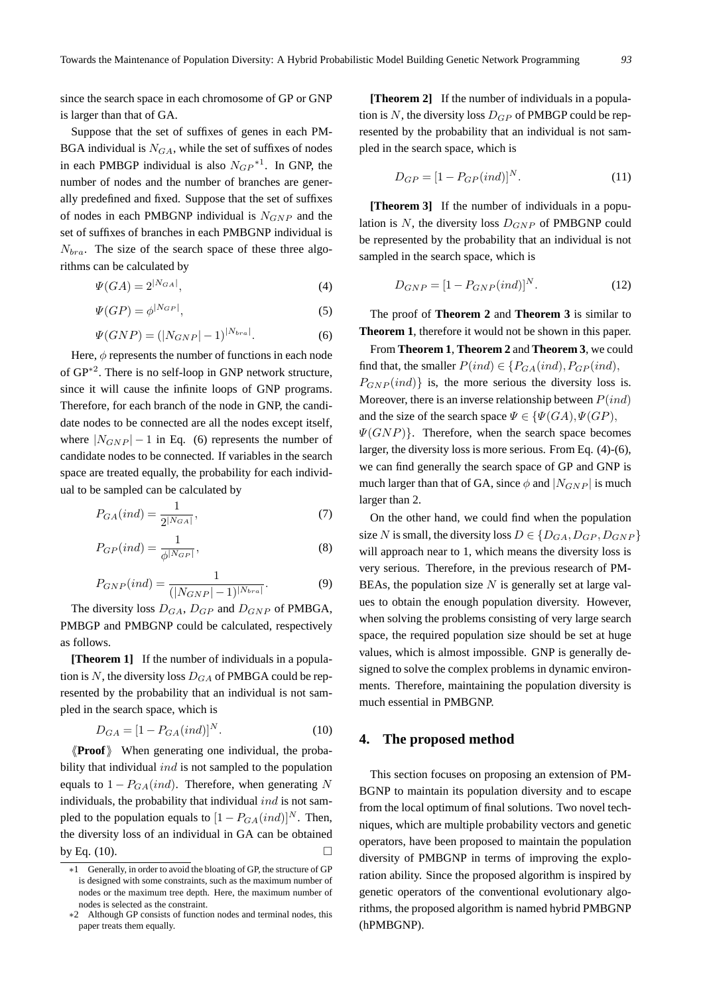since the search space in each chromosome of GP or GNP is larger than that of GA.

Suppose that the set of suffixes of genes in each PM-BGA individual is  $N_{GA}$ , while the set of suffixes of nodes in each PMBGP individual is also  $N_{GP}^{*1}$ . In GNP, the number of nodes and the number of branches are generally predefined and fixed. Suppose that the set of suffixes of nodes in each PMBGNP individual is *NGNP* and the set of suffixes of branches in each PMBGNP individual is *Nbra*. The size of the search space of these three algorithms can be calculated by

$$
\Psi(GA) = 2^{|N_{GA}|},\tag{4}
$$

$$
\Psi(GP) = \phi^{|N_{GP}|},\tag{5}
$$

$$
\Psi(GNP) = (|N_{GNP}|-1)^{|N_{bra}|}.
$$
\n(6)

Here,  $\phi$  represents the number of functions in each node of GP*∗*<sup>2</sup> . There is no self-loop in GNP network structure, since it will cause the infinite loops of GNP programs. Therefore, for each branch of the node in GNP, the candidate nodes to be connected are all the nodes except itself, where  $|N_{GNP}| - 1$  in Eq. (6) represents the number of candidate nodes to be connected. If variables in the search space are treated equally, the probability for each individual to be sampled can be calculated by

$$
P_{GA}(ind) = \frac{1}{2^{|N_{GA}|}},\tag{7}
$$

$$
P_{GP}(ind) = \frac{1}{\phi^{|N_{GP}|}},\tag{8}
$$

$$
P_{GNP}(ind) = \frac{1}{(|N_{GNP}|-1)^{|N_{bra}|}}.
$$
\n(9)

The diversity loss *DGA*, *DGP* and *DGNP* of PMBGA, PMBGP and PMBGNP could be calculated, respectively as follows.

**[Theorem 1]** If the number of individuals in a population is N, the diversity loss  $D_{GA}$  of PMBGA could be represented by the probability that an individual is not sampled in the search space, which is

$$
D_{GA} = [1 - P_{GA}(ind)]^N.
$$
 (10)

*⟨⟨***Proof***⟩⟩* When generating one individual, the probability that individual *ind* is not sampled to the population equals to  $1 - P_{GA}(ind)$ . Therefore, when generating N individuals, the probability that individual *ind* is not sampled to the population equals to  $[1 - P_{GA}(ind)]^N$ . Then, the diversity loss of an individual in GA can be obtained by Eq. (10).

**[Theorem 2]** If the number of individuals in a population is N, the diversity loss  $D_{GP}$  of PMBGP could be represented by the probability that an individual is not sampled in the search space, which is

$$
D_{GP} = [1 - P_{GP}(ind)]^N.
$$
 (11)

**[Theorem 3]** If the number of individuals in a population is *N*, the diversity loss  $D_{GNP}$  of PMBGNP could be represented by the probability that an individual is not sampled in the search space, which is

$$
D_{GNP} = [1 - P_{GNP}(ind)]^N.
$$
 (12)

The proof of **Theorem 2** and **Theorem 3** is similar to **Theorem 1**, therefore it would not be shown in this paper.

From **Theorem 1**, **Theorem 2** and **Theorem 3**, we could find that, the smaller  $P(ind) \in \{P_{GA}(ind), P_{GP}(ind),\}$  $P_{GNP}(ind)$ } is, the more serious the diversity loss is. Moreover, there is an inverse relationship between *P*(*ind*) and the size of the search space  $\Psi \in \{\Psi(GA), \Psi(GP),\}$ *Ψ*(*GNP*)*}*. Therefore, when the search space becomes larger, the diversity loss is more serious. From Eq. (4)-(6), we can find generally the search space of GP and GNP is much larger than that of GA, since  $\phi$  and  $|N_{GNP}|$  is much larger than 2.

On the other hand, we could find when the population size *N* is small, the diversity loss  $D \in \{D_{GA}, D_{GP}, D_{GNP}\}\$ will approach near to 1, which means the diversity loss is very serious. Therefore, in the previous research of PM-BEAs, the population size *N* is generally set at large values to obtain the enough population diversity. However, when solving the problems consisting of very large search space, the required population size should be set at huge values, which is almost impossible. GNP is generally designed to solve the complex problems in dynamic environments. Therefore, maintaining the population diversity is much essential in PMBGNP.

#### **4. The proposed method**

This section focuses on proposing an extension of PM-BGNP to maintain its population diversity and to escape from the local optimum of final solutions. Two novel techniques, which are multiple probability vectors and genetic operators, have been proposed to maintain the population diversity of PMBGNP in terms of improving the exploration ability. Since the proposed algorithm is inspired by genetic operators of the conventional evolutionary algorithms, the proposed algorithm is named hybrid PMBGNP (hPMBGNP).

*<sup>∗</sup>*1 Generally, in order to avoid the bloating of GP, the structure of GP is designed with some constraints, such as the maximum number of nodes or the maximum tree depth. Here, the maximum number of nodes is selected as the constraint.

*<sup>∗</sup>*2 Although GP consists of function nodes and terminal nodes, this paper treats them equally.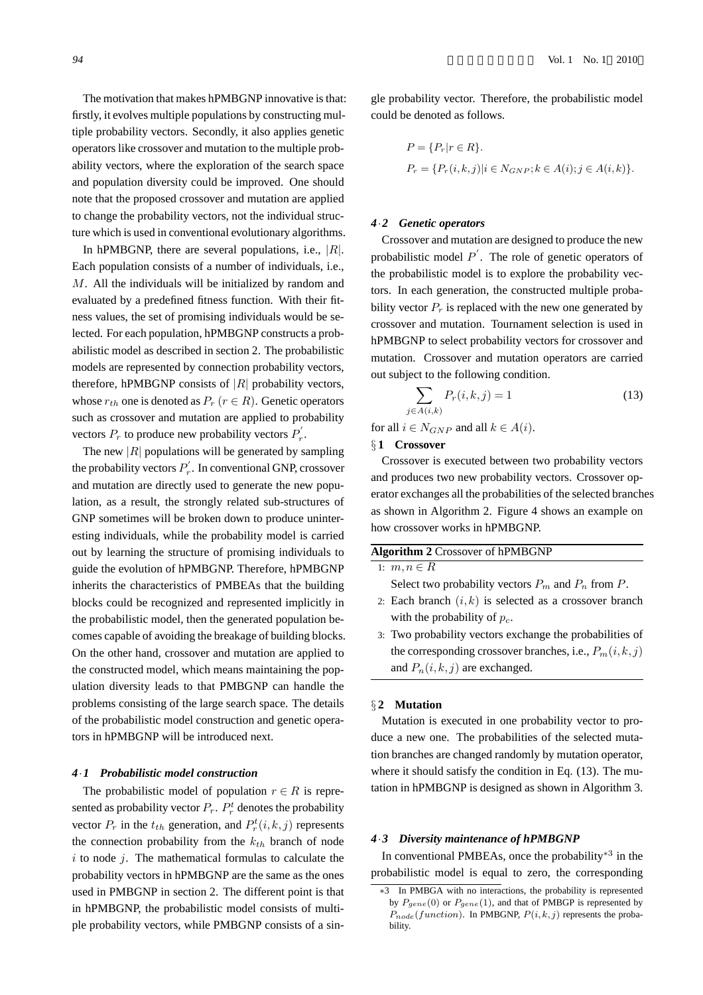The motivation that makes hPMBGNP innovative is that: firstly, it evolves multiple populations by constructing multiple probability vectors. Secondly, it also applies genetic operators like crossover and mutation to the multiple probability vectors, where the exploration of the search space and population diversity could be improved. One should note that the proposed crossover and mutation are applied to change the probability vectors, not the individual structure which is used in conventional evolutionary algorithms.

In hPMBGNP, there are several populations, i.e., *|R|*. Each population consists of a number of individuals, i.e., *M*. All the individuals will be initialized by random and evaluated by a predefined fitness function. With their fitness values, the set of promising individuals would be selected. For each population, hPMBGNP constructs a probabilistic model as described in section 2. The probabilistic models are represented by connection probability vectors, therefore, hPMBGNP consists of  $|R|$  probability vectors, whose  $r_{th}$  one is denoted as  $P_r$  ( $r \in R$ ). Genetic operators such as crossover and mutation are applied to probability vectors  $P_r$  to produce new probability vectors  $P'_r$ .

The new  $|R|$  populations will be generated by sampling the probability vectors  $P'_r$ . In conventional GNP, crossover and mutation are directly used to generate the new population, as a result, the strongly related sub-structures of GNP sometimes will be broken down to produce uninteresting individuals, while the probability model is carried out by learning the structure of promising individuals to guide the evolution of hPMBGNP. Therefore, hPMBGNP inherits the characteristics of PMBEAs that the building blocks could be recognized and represented implicitly in the probabilistic model, then the generated population becomes capable of avoiding the breakage of building blocks. On the other hand, crossover and mutation are applied to the constructed model, which means maintaining the population diversity leads to that PMBGNP can handle the problems consisting of the large search space. The details of the probabilistic model construction and genetic operators in hPMBGNP will be introduced next.

# *4·1 Probabilistic model construction*

The probabilistic model of population  $r \in R$  is represented as probability vector  $P_r$ .  $P_r^t$  denotes the probability vector  $P_r$  in the  $t_{th}$  generation, and  $P_r^t(i, k, j)$  represents the connection probability from the  $k_{th}$  branch of node *i* to node *j*. The mathematical formulas to calculate the probability vectors in hPMBGNP are the same as the ones used in PMBGNP in section 2. The different point is that in hPMBGNP, the probabilistic model consists of multiple probability vectors, while PMBGNP consists of a single probability vector. Therefore, the probabilistic model could be denoted as follows.

$$
P = \{P_r | r \in R\}.
$$
  

$$
P_r = \{P_r(i, k, j) | i \in N_{GNP}; k \in A(i); j \in A(i, k)\}.
$$

#### *4·2 Genetic operators*

Crossover and mutation are designed to produce the new probabilistic model *P ′* . The role of genetic operators of the probabilistic model is to explore the probability vectors. In each generation, the constructed multiple probability vector  $P_r$  is replaced with the new one generated by crossover and mutation. Tournament selection is used in hPMBGNP to select probability vectors for crossover and mutation. Crossover and mutation operators are carried out subject to the following condition.

$$
\sum_{j \in A(i,k)} P_r(i,k,j) = 1 \tag{13}
$$

for all  $i \in N_{GNP}$  and all  $k \in A(i)$ .

## *§* **1 Crossover**

Crossover is executed between two probability vectors and produces two new probability vectors. Crossover operator exchanges all the probabilities of the selected branches as shown in Algorithm 2. Figure 4 shows an example on how crossover works in hPMBGNP.

## **Algorithm 2** Crossover of hPMBGNP

1:  $m, n \in R$ 

- Select two probability vectors  $P_m$  and  $P_n$  from  $P$ .
- 2: Each branch  $(i, k)$  is selected as a crossover branch with the probability of *pc*.
- 3: Two probability vectors exchange the probabilities of the corresponding crossover branches, i.e., *Pm*(*i, k, j*) and  $P_n(i, k, j)$  are exchanged.

# *§* **2 Mutation**

Mutation is executed in one probability vector to produce a new one. The probabilities of the selected mutation branches are changed randomly by mutation operator, where it should satisfy the condition in Eq. (13). The mutation in hPMBGNP is designed as shown in Algorithm 3.

# *4·3 Diversity maintenance of hPMBGNP*

In conventional PMBEAs, once the probability*∗*<sup>3</sup> in the probabilistic model is equal to zero, the corresponding

*<sup>∗</sup>*3 In PMBGA with no interactions, the probability is represented by  $P_{gene}(0)$  or  $P_{gene}(1)$ , and that of PMBGP is represented by  $P_{node}(function)$ . In PMBGNP,  $P(i, k, j)$  represents the probability.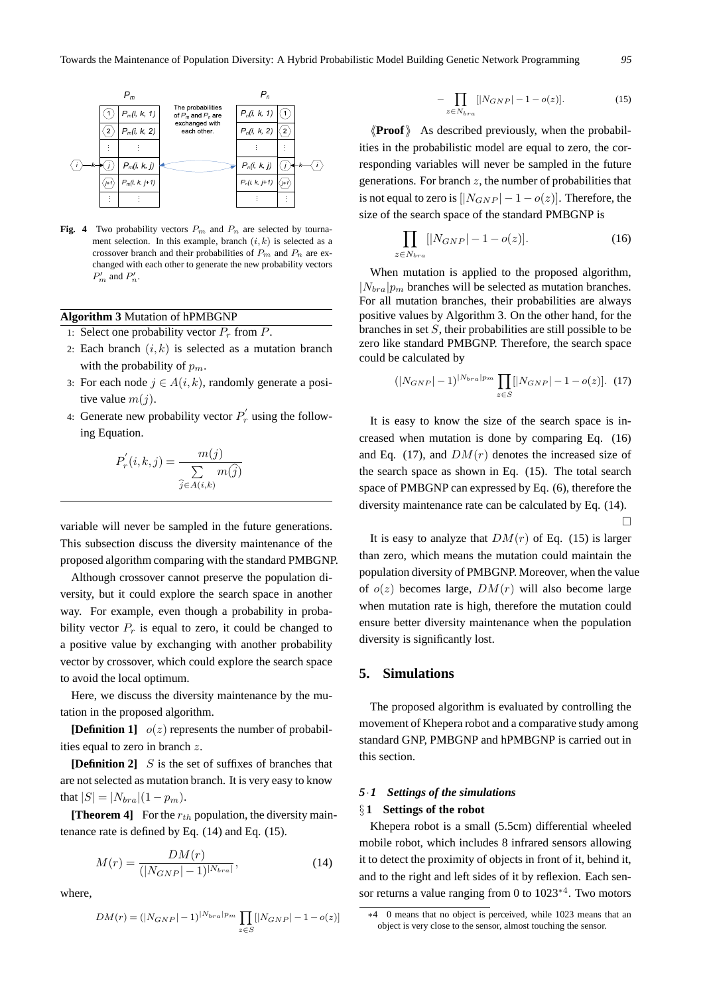

**Fig. 4** Two probability vectors  $P_m$  and  $P_n$  are selected by tournament selection. In this example, branch  $(i, k)$  is selected as a crossover branch and their probabilities of  $P_m$  and  $P_n$  are exchanged with each other to generate the new probability vectors  $P'_m$  and  $P'_n$ .

# **Algorithm 3** Mutation of hPMBGNP

- 1: Select one probability vector  $P_r$  from  $P$ .
- 2: Each branch  $(i, k)$  is selected as a mutation branch with the probability of *pm*.
- 3: For each node  $j \in A(i,k)$ , randomly generate a positive value *m*(*j*).
- 4: Generate new probability vector  $P'_r$  using the following Equation.

$$
P'_{r}(i,k,j) = \frac{m(j)}{\sum\limits_{\widehat{j} \in A(i,k)} m(\widehat{j})}
$$

variable will never be sampled in the future generations. This subsection discuss the diversity maintenance of the proposed algorithm comparing with the standard PMBGNP.

Although crossover cannot preserve the population diversity, but it could explore the search space in another way. For example, even though a probability in probability vector  $P_r$  is equal to zero, it could be changed to a positive value by exchanging with another probability vector by crossover, which could explore the search space to avoid the local optimum.

Here, we discuss the diversity maintenance by the mutation in the proposed algorithm.

**[Definition 1]**  $o(z)$  represents the number of probabilities equal to zero in branch *z*.

**[Definition 2]** *S* is the set of suffixes of branches that are not selected as mutation branch. It is very easy to know that  $|S| = |N_{bra}|(1 - p_m)$ .

**[Theorem 4]** For the *rth* population, the diversity maintenance rate is defined by Eq. (14) and Eq. (15).

$$
M(r) = \frac{DM(r)}{(|N_{GNP}|-1)^{|N_{bra}|}},\tag{14}
$$

where,

$$
DM(r) = (|N_{GNP}|-1)^{|N_{bra}|p_m} \prod_{z \in S} [|N_{GNP}|-1 - o(z)]
$$

$$
-\prod_{z \in N_{bra}} [N_{GNP}| - 1 - o(z)].
$$
\n(15)

*⟨⟨***Proof***⟩⟩* As described previously, when the probabilities in the probabilistic model are equal to zero, the corresponding variables will never be sampled in the future generations. For branch *z*, the number of probabilities that is not equal to zero is  $[|N_{GNP}| - 1 - o(z)]$ . Therefore, the size of the search space of the standard PMBGNP is

$$
\prod_{z \in N_{bra}} [N_{GNP}] - 1 - o(z)].
$$
\n(16)

When mutation is applied to the proposed algorithm,  $|N_{bra}|p_m$  branches will be selected as mutation branches. For all mutation branches, their probabilities are always positive values by Algorithm 3. On the other hand, for the branches in set *S*, their probabilities are still possible to be zero like standard PMBGNP. Therefore, the search space could be calculated by

$$
(|N_{GNP}|-1)^{|N_{bra}|p_m} \prod_{z \in S} [|N_{GNP}|-1-o(z)]. \tag{17}
$$

It is easy to know the size of the search space is increased when mutation is done by comparing Eq. (16) and Eq. (17), and  $DM(r)$  denotes the increased size of the search space as shown in Eq. (15). The total search space of PMBGNP can expressed by Eq. (6), therefore the diversity maintenance rate can be calculated by Eq. (14).  $\Box$ 

It is easy to analyze that  $DM(r)$  of Eq. (15) is larger than zero, which means the mutation could maintain the population diversity of PMBGNP. Moreover, when the value of  $o(z)$  becomes large,  $DM(r)$  will also become large when mutation rate is high, therefore the mutation could ensure better diversity maintenance when the population diversity is significantly lost.

## **5. Simulations**

The proposed algorithm is evaluated by controlling the movement of Khepera robot and a comparative study among standard GNP, PMBGNP and hPMBGNP is carried out in this section.

#### *5·1 Settings of the simulations*

#### *§* **1 Settings of the robot**

Khepera robot is a small (5.5cm) differential wheeled mobile robot, which includes 8 infrared sensors allowing it to detect the proximity of objects in front of it, behind it, and to the right and left sides of it by reflexion. Each sensor returns a value ranging from 0 to 1023*∗*<sup>4</sup> . Two motors

*<sup>∗</sup>*4 0 means that no object is perceived, while 1023 means that an object is very close to the sensor, almost touching the sensor.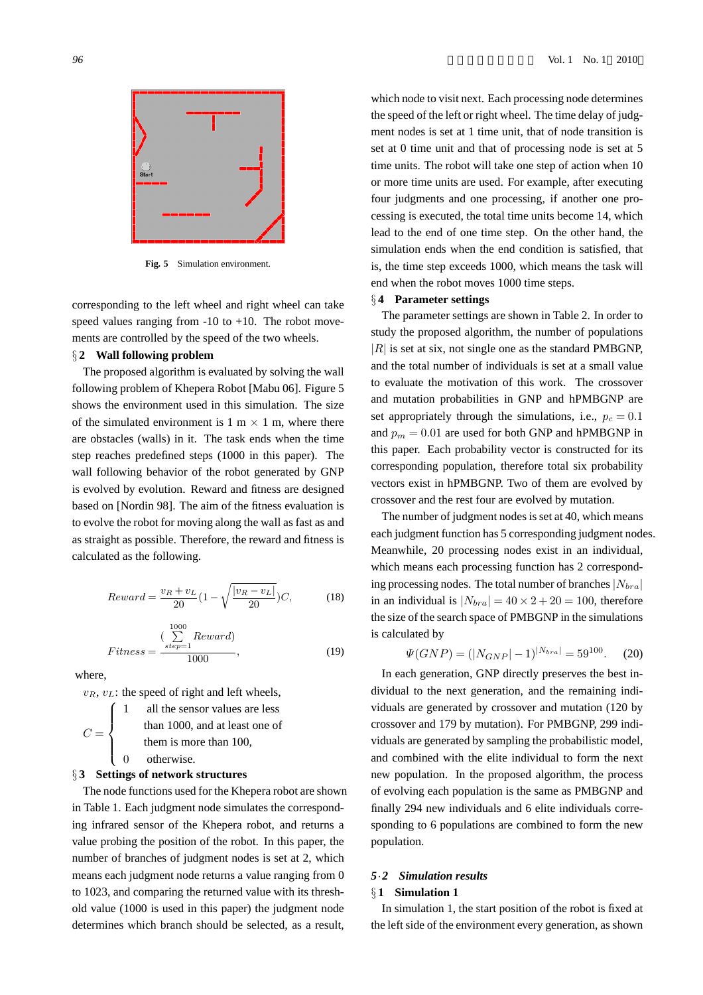

**Fig. 5** Simulation environment.

corresponding to the left wheel and right wheel can take speed values ranging from  $-10$  to  $+10$ . The robot movements are controlled by the speed of the two wheels.

## *§* **2 Wall following problem**

The proposed algorithm is evaluated by solving the wall following problem of Khepera Robot [Mabu 06]. Figure 5 shows the environment used in this simulation. The size of the simulated environment is  $1 \text{ m} \times 1 \text{ m}$ , where there are obstacles (walls) in it. The task ends when the time step reaches predefined steps (1000 in this paper). The wall following behavior of the robot generated by GNP is evolved by evolution. Reward and fitness are designed based on [Nordin 98]. The aim of the fitness evaluation is to evolve the robot for moving along the wall as fast as and as straight as possible. Therefore, the reward and fitness is calculated as the following.

$$
Reward = \frac{v_R + v_L}{20} \left(1 - \sqrt{\frac{|v_R - v_L|}{20}}\right) C,\tag{18}
$$

$$
Fitness = \frac{(\sum_{step=1}^{1000} Reward)}{1000},
$$
\n(19)

where,

 $v_R$ ,  $v_L$ : the speed of right and left wheels,

|             |                        | all the sensor values are less |
|-------------|------------------------|--------------------------------|
| $C = \zeta$ |                        | than 1000, and at least one of |
|             | them is more than 100, |                                |
|             | $\Omega$               | otherwise.                     |

#### *§* **3 Settings of network structures**

The node functions used for the Khepera robot are shown in Table 1. Each judgment node simulates the corresponding infrared sensor of the Khepera robot, and returns a value probing the position of the robot. In this paper, the number of branches of judgment nodes is set at 2, which means each judgment node returns a value ranging from 0 to 1023, and comparing the returned value with its threshold value (1000 is used in this paper) the judgment node determines which branch should be selected, as a result,

which node to visit next. Each processing node determines the speed of the left or right wheel. The time delay of judgment nodes is set at 1 time unit, that of node transition is set at 0 time unit and that of processing node is set at 5 time units. The robot will take one step of action when 10 or more time units are used. For example, after executing four judgments and one processing, if another one processing is executed, the total time units become 14, which lead to the end of one time step. On the other hand, the simulation ends when the end condition is satisfied, that is, the time step exceeds 1000, which means the task will end when the robot moves 1000 time steps.

## *§* **4 Parameter settings**

The parameter settings are shown in Table 2. In order to study the proposed algorithm, the number of populations *|R|* is set at six, not single one as the standard PMBGNP, and the total number of individuals is set at a small value to evaluate the motivation of this work. The crossover and mutation probabilities in GNP and hPMBGNP are set appropriately through the simulations, i.e.,  $p_c = 0.1$ and  $p_m = 0.01$  are used for both GNP and hPMBGNP in this paper. Each probability vector is constructed for its corresponding population, therefore total six probability vectors exist in hPMBGNP. Two of them are evolved by crossover and the rest four are evolved by mutation.

The number of judgment nodes is set at 40, which means each judgment function has 5 corresponding judgment nodes. Meanwhile, 20 processing nodes exist in an individual, which means each processing function has 2 corresponding processing nodes. The total number of branches*|Nbra|* in an individual is  $|N_{bra}| = 40 \times 2 + 20 = 100$ , therefore the size of the search space of PMBGNP in the simulations is calculated by

$$
\Psi(GNP) = (|N_{GNP}|-1)^{|N_{bra}|} = 59^{100}.
$$
 (20)

In each generation, GNP directly preserves the best individual to the next generation, and the remaining individuals are generated by crossover and mutation (120 by crossover and 179 by mutation). For PMBGNP, 299 individuals are generated by sampling the probabilistic model, and combined with the elite individual to form the next new population. In the proposed algorithm, the process of evolving each population is the same as PMBGNP and finally 294 new individuals and 6 elite individuals corresponding to 6 populations are combined to form the new population.

## *5·2 Simulation results*

#### *§* **1 Simulation 1**

In simulation 1, the start position of the robot is fixed at the left side of the environment every generation, as shown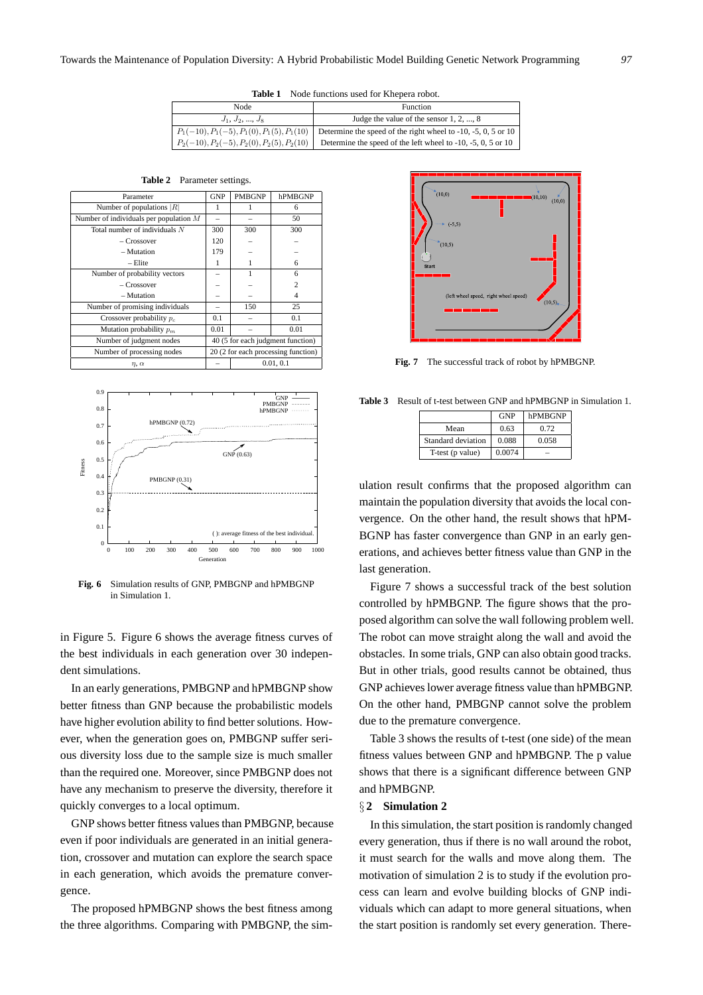**Table 1** Node functions used for Khepera robot.

| Node                                         | Function                                                                                                   |  |  |
|----------------------------------------------|------------------------------------------------------------------------------------------------------------|--|--|
| $J_1, J_2, , J_8$                            | Judge the value of the sensor $1, 2, , 8$                                                                  |  |  |
|                                              | $P_1(-10), P_1(-5), P_1(0), P_1(5), P_1(10)$ Determine the speed of the right wheel to -10, -5, 0, 5 or 10 |  |  |
| $P_2(-10), P_2(-5), P_2(0), P_2(5), P_2(10)$ | Determine the speed of the left wheel to $-10$ , $-5$ , 0, 5 or 10                                         |  |  |

| Table 2 | Parameter settings. |  |
|---------|---------------------|--|
|---------|---------------------|--|

| Parameter                                | <b>GNP</b>                          | <b>PMBGNP</b> | hPMBGNP        |
|------------------------------------------|-------------------------------------|---------------|----------------|
| Number of populations $ R $              | 1                                   |               | 6              |
| Number of individuals per population $M$ |                                     |               | 50             |
| Total number of individuals $N$          | 300                                 | 300           | 300            |
| – Crossover                              | 120                                 |               |                |
| - Mutation                               | 179                                 |               |                |
| $-$ Elite                                | 1                                   |               | 6              |
| Number of probability vectors            |                                     | 1             | 6              |
| $-Crossover$                             |                                     |               | $\overline{c}$ |
| - Mutation                               |                                     |               | 4              |
| Number of promising individuals          |                                     | 150           | 25             |
| Crossover probability $p_c$              | 0.1                                 |               | 0.1            |
| Mutation probability $p_m$               | 0.01                                |               | 0.01           |
| Number of judgment nodes                 | 40 (5 for each judgment function)   |               |                |
| Number of processing nodes               | 20 (2 for each processing function) |               |                |
| $\eta$ , $\alpha$                        | 0.01.0.1                            |               |                |



**Fig. 6** Simulation results of GNP, PMBGNP and hPMBGNP in Simulation 1.

in Figure 5. Figure 6 shows the average fitness curves of the best individuals in each generation over 30 independent simulations.

In an early generations, PMBGNP and hPMBGNP show better fitness than GNP because the probabilistic models have higher evolution ability to find better solutions. However, when the generation goes on, PMBGNP suffer serious diversity loss due to the sample size is much smaller than the required one. Moreover, since PMBGNP does not have any mechanism to preserve the diversity, therefore it quickly converges to a local optimum.

GNP shows better fitness values than PMBGNP, because even if poor individuals are generated in an initial generation, crossover and mutation can explore the search space in each generation, which avoids the premature convergence.

The proposed hPMBGNP shows the best fitness among the three algorithms. Comparing with PMBGNP, the sim-



**Fig. 7** The successful track of robot by hPMBGNP.

**Table 3** Result of t-test between GNP and hPMBGNP in Simulation 1.

|                    | <b>GNP</b> | hPMBGNP |
|--------------------|------------|---------|
| Mean               | 0.63       | 0.72    |
| Standard deviation | 0.088      | 0.058   |
| T-test (p value)   | 0.0074     |         |

ulation result confirms that the proposed algorithm can maintain the population diversity that avoids the local convergence. On the other hand, the result shows that hPM-BGNP has faster convergence than GNP in an early generations, and achieves better fitness value than GNP in the last generation.

Figure 7 shows a successful track of the best solution controlled by hPMBGNP. The figure shows that the proposed algorithm can solve the wall following problem well. The robot can move straight along the wall and avoid the obstacles. In some trials, GNP can also obtain good tracks. But in other trials, good results cannot be obtained, thus GNP achieves lower average fitness value than hPMBGNP. On the other hand, PMBGNP cannot solve the problem due to the premature convergence.

Table 3 shows the results of t-test (one side) of the mean fitness values between GNP and hPMBGNP. The p value shows that there is a significant difference between GNP and hPMBGNP.

#### *§* **2 Simulation 2**

In this simulation, the start position is randomly changed every generation, thus if there is no wall around the robot, it must search for the walls and move along them. The motivation of simulation 2 is to study if the evolution process can learn and evolve building blocks of GNP individuals which can adapt to more general situations, when the start position is randomly set every generation. There-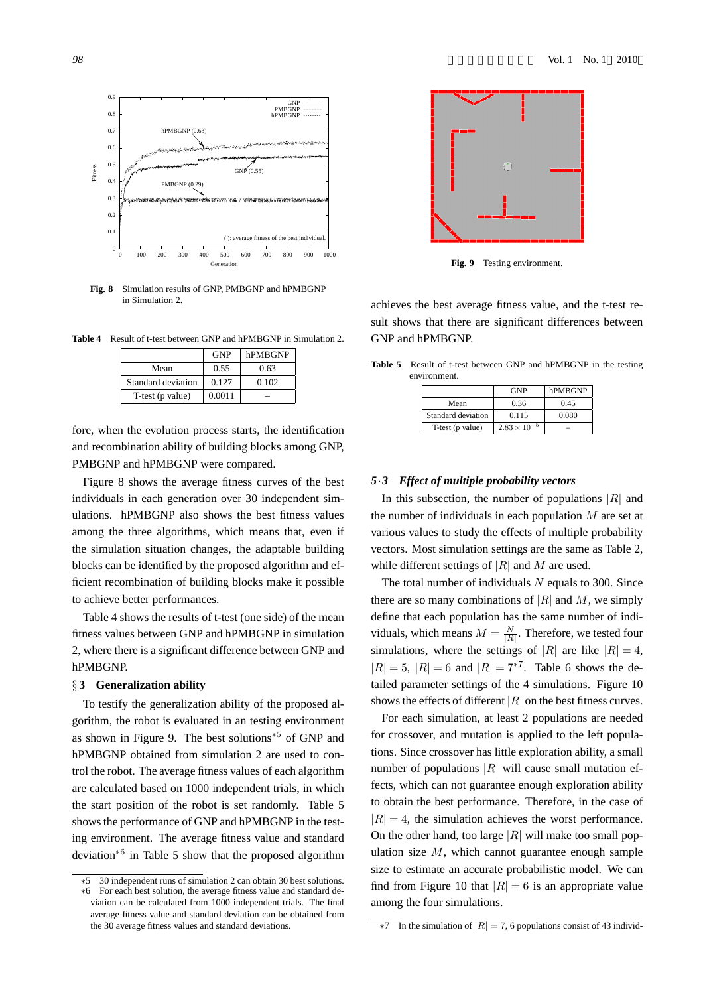

**Fig. 8** Simulation results of GNP, PMBGNP and hPMBGNP in Simulation 2.

**Table 4** Result of t-test between GNP and hPMBGNP in Simulation 2.

|                    | <b>GNP</b> | hPMBGNP |
|--------------------|------------|---------|
| Mean               | 0.55       | 0.63    |
| Standard deviation | 0.127      | 0.102   |
| T-test (p value)   | 0.0011     |         |

fore, when the evolution process starts, the identification and recombination ability of building blocks among GNP, PMBGNP and hPMBGNP were compared.

Figure 8 shows the average fitness curves of the best individuals in each generation over 30 independent simulations. hPMBGNP also shows the best fitness values among the three algorithms, which means that, even if the simulation situation changes, the adaptable building blocks can be identified by the proposed algorithm and efficient recombination of building blocks make it possible to achieve better performances.

Table 4 shows the results of t-test (one side) of the mean fitness values between GNP and hPMBGNP in simulation 2, where there is a significant difference between GNP and hPMBGNP.

#### *§* **3 Generalization ability**

To testify the generalization ability of the proposed algorithm, the robot is evaluated in an testing environment as shown in Figure 9. The best solutions*∗*<sup>5</sup> of GNP and hPMBGNP obtained from simulation 2 are used to control the robot. The average fitness values of each algorithm are calculated based on 1000 independent trials, in which the start position of the robot is set randomly. Table 5 shows the performance of GNP and hPMBGNP in the testing environment. The average fitness value and standard deviation*∗*<sup>6</sup> in Table 5 show that the proposed algorithm



**Fig. 9** Testing environment.

achieves the best average fitness value, and the t-test result shows that there are significant differences between GNP and hPMBGNP.

**Table 5** Result of t-test between GNP and hPMBGNP in the testing environment.

|                    | <b>GNP</b>            | hPMBGNP |
|--------------------|-----------------------|---------|
| Mean               | 0.36                  | 0.45    |
| Standard deviation | 0.115                 | 0.080   |
| T-test (p value)   | $2.83 \times 10^{-5}$ |         |

#### *5·3 Effect of multiple probability vectors*

In this subsection, the number of populations *|R|* and the number of individuals in each population *M* are set at various values to study the effects of multiple probability vectors. Most simulation settings are the same as Table 2, while different settings of *|R|* and *M* are used.

The total number of individuals *N* equals to 300. Since there are so many combinations of  $|R|$  and M, we simply define that each population has the same number of individuals, which means  $M = \frac{N}{|R|}$ . Therefore, we tested four simulations, where the settings of  $|R|$  are like  $|R| = 4$ ,  $|R| = 5$ ,  $|R| = 6$  and  $|R| = 7^{*7}$ . Table 6 shows the detailed parameter settings of the 4 simulations. Figure 10 shows the effects of different *|R|* on the best fitness curves.

For each simulation, at least 2 populations are needed for crossover, and mutation is applied to the left populations. Since crossover has little exploration ability, a small number of populations *|R|* will cause small mutation effects, which can not guarantee enough exploration ability to obtain the best performance. Therefore, in the case of  $|R| = 4$ , the simulation achieves the worst performance. On the other hand, too large *|R|* will make too small population size *M*, which cannot guarantee enough sample size to estimate an accurate probabilistic model. We can find from Figure 10 that  $|R| = 6$  is an appropriate value among the four simulations.

*<sup>∗</sup>*5 30 independent runs of simulation 2 can obtain 30 best solutions. For each best solution, the average fitness value and standard deviation can be calculated from 1000 independent trials. The final average fitness value and standard deviation can be obtained from the 30 average fitness values and standard deviations.

In the simulation of  $|R| = 7$ , 6 populations consist of 43 individ-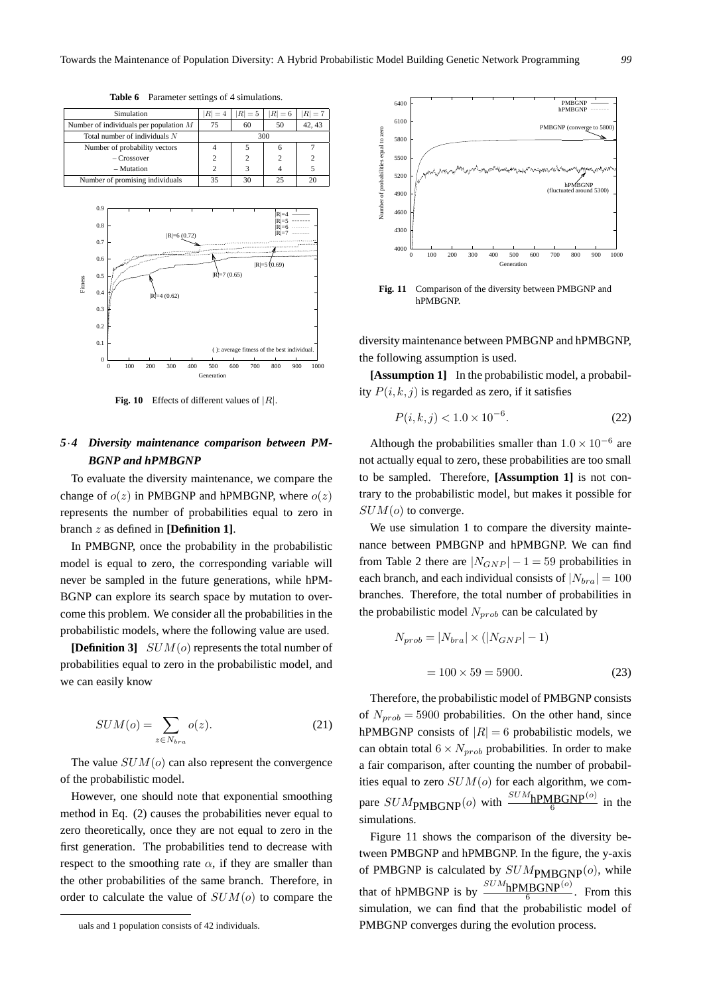| Simulation                               | $ R =4$ | $R = 5$ | $R =6$ | $R = 7$ |
|------------------------------------------|---------|---------|--------|---------|
| Number of individuals per population $M$ | 75      | 60      | 50     | 42.43   |
| Total number of individuals $N$          |         |         | 300    |         |
| Number of probability vectors            |         |         |        |         |
| $-Crossover$                             |         | 2       |        |         |
| $-$ Mutation                             |         |         |        |         |
| Number of promising individuals          | 35      | 30      |        |         |

**Table 6** Parameter settings of 4 simulations.

 0.1 0.2 0.3  $0.4$  $0.5$  $0.6$  $0.7$  $0.8$  0.9 Fitness |R|=6 (0.72) |R|=5 (0.69) |R|=7 (0.65)  $(0.62)$ |R|=4<br>|R|=5<br>|R|=6<br>|R|=7

**Fig. 10** Effects of different values of *|R|*.

0 100 200 300 400 500 600 700 800 900 1000

( ): average fitness of the best individual.

Generation

 $\theta$ 

# *5·4 Diversity maintenance comparison between PM-BGNP and hPMBGNP*

To evaluate the diversity maintenance, we compare the change of  $o(z)$  in PMBGNP and hPMBGNP, where  $o(z)$ represents the number of probabilities equal to zero in branch *z* as defined in **[Definition 1]**.

In PMBGNP, once the probability in the probabilistic model is equal to zero, the corresponding variable will never be sampled in the future generations, while hPM-BGNP can explore its search space by mutation to overcome this problem. We consider all the probabilities in the probabilistic models, where the following value are used.

**[Definition 3]** *SUM*(*o*) represents the total number of probabilities equal to zero in the probabilistic model, and we can easily know

$$
SUM(o) = \sum_{z \in N_{bra}} o(z). \tag{21}
$$

The value *SUM*(*o*) can also represent the convergence of the probabilistic model.

However, one should note that exponential smoothing method in Eq. (2) causes the probabilities never equal to zero theoretically, once they are not equal to zero in the first generation. The probabilities tend to decrease with respect to the smoothing rate  $\alpha$ , if they are smaller than the other probabilities of the same branch. Therefore, in order to calculate the value of *SUM*(*o*) to compare the



**Fig. 11** Comparison of the diversity between PMBGNP and hPMBGNP.

diversity maintenance between PMBGNP and hPMBGNP, the following assumption is used.

**[Assumption 1]** In the probabilistic model, a probability  $P(i, k, j)$  is regarded as zero, if it satisfies

$$
P(i,k,j) < 1.0 \times 10^{-6}.\tag{22}
$$

Although the probabilities smaller than 1*.*0 *×* 10*−*<sup>6</sup> are not actually equal to zero, these probabilities are too small to be sampled. Therefore, **[Assumption 1]** is not contrary to the probabilistic model, but makes it possible for *SUM*(*o*) to converge.

We use simulation 1 to compare the diversity maintenance between PMBGNP and hPMBGNP. We can find from Table 2 there are  $|N_{GNP}| - 1 = 59$  probabilities in each branch, and each individual consists of  $|N_{bra}| = 100$ branches. Therefore, the total number of probabilities in the probabilistic model *Nprob* can be calculated by

$$
N_{prob} = |N_{bra}| \times (|N_{GNP}| - 1)
$$

$$
= 100 \times 59 = 5900.
$$
 (23)

Therefore, the probabilistic model of PMBGNP consists of  $N_{prob} = 5900$  probabilities. On the other hand, since hPMBGNP consists of  $|R| = 6$  probabilistic models, we can obtain total  $6 \times N_{prob}$  probabilities. In order to make a fair comparison, after counting the number of probabilities equal to zero *SUM*(*o*) for each algorithm, we compare  $SUM_{\text{PMBGNP}}(o)$  with  $\frac{SUM_{\text{hPMBGNP}}(o)}{6}$  in the simulations.

Figure 11 shows the comparison of the diversity between PMBGNP and hPMBGNP. In the figure, the y-axis of PMBGNP is calculated by  $SUM_{\text{PMBGNP}}(o)$ , while that of hPMBGNP is by  $\frac{SUM_{h}PMBGNP^{(o)}}{6}$ . From this simulation, we can find that the probabilistic model of PMBGNP converges during the evolution process.

uals and 1 population consists of 42 individuals.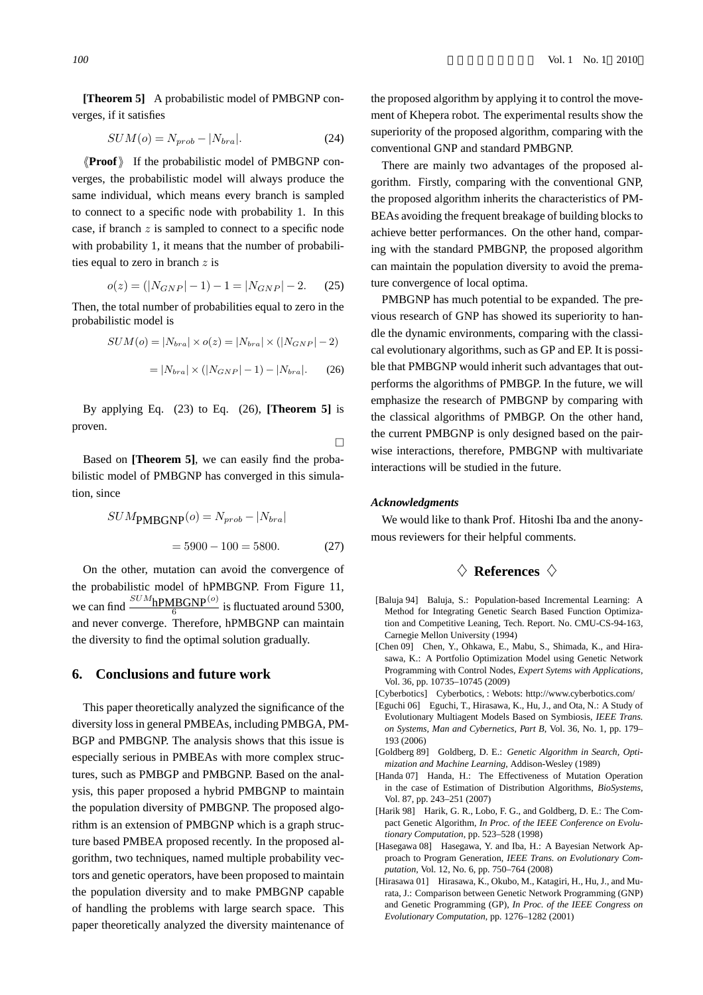**[Theorem 5]** A probabilistic model of PMBGNP converges, if it satisfies

$$
SUM(o) = N_{prob} - |N_{bra}|.
$$
\n(24)

*⟨⟨***Proof***⟩⟩* If the probabilistic model of PMBGNP converges, the probabilistic model will always produce the same individual, which means every branch is sampled to connect to a specific node with probability 1. In this case, if branch *z* is sampled to connect to a specific node with probability 1, it means that the number of probabilities equal to zero in branch *z* is

$$
o(z) = (|N_{GNP}|-1) - 1 = |N_{GNP}|-2.
$$
 (25)

Then, the total number of probabilities equal to zero in the probabilistic model is

$$
SUM(o) = |N_{bra}| \times o(z) = |N_{bra}| \times (|N_{GNP}| - 2)
$$

$$
= |N_{bra}| \times (|N_{GNP}| - 1) - |N_{bra}|.
$$
(26)

By applying Eq. (23) to Eq. (26), **[Theorem 5]** is proven.

Based on **[Theorem 5]**, we can easily find the probabilistic model of PMBGNP has converged in this simula-

$$
SUMPMBGNP(o) = Nprob - |Nbra|
$$

$$
= 5900 - 100 = 5800.
$$
 (27)

On the other, mutation can avoid the convergence of the probabilistic model of hPMBGNP. From Figure 11, we can find  $\frac{SUM_{\text{hPMBGNP}}^{(o)}}{6}$  is fluctuated around 5300, and never converge. Therefore, hPMBGNP can maintain the diversity to find the optimal solution gradually.

## **6. Conclusions and future work**

This paper theoretically analyzed the significance of the diversity loss in general PMBEAs, including PMBGA, PM-BGP and PMBGNP. The analysis shows that this issue is especially serious in PMBEAs with more complex structures, such as PMBGP and PMBGNP. Based on the analysis, this paper proposed a hybrid PMBGNP to maintain the population diversity of PMBGNP. The proposed algorithm is an extension of PMBGNP which is a graph structure based PMBEA proposed recently. In the proposed algorithm, two techniques, named multiple probability vectors and genetic operators, have been proposed to maintain the population diversity and to make PMBGNP capable of handling the problems with large search space. This paper theoretically analyzed the diversity maintenance of

the proposed algorithm by applying it to control the movement of Khepera robot. The experimental results show the superiority of the proposed algorithm, comparing with the conventional GNP and standard PMBGNP.

There are mainly two advantages of the proposed algorithm. Firstly, comparing with the conventional GNP, the proposed algorithm inherits the characteristics of PM-BEAs avoiding the frequent breakage of building blocks to achieve better performances. On the other hand, comparing with the standard PMBGNP, the proposed algorithm can maintain the population diversity to avoid the premature convergence of local optima.

PMBGNP has much potential to be expanded. The previous research of GNP has showed its superiority to handle the dynamic environments, comparing with the classical evolutionary algorithms, such as GP and EP. It is possible that PMBGNP would inherit such advantages that outperforms the algorithms of PMBGP. In the future, we will emphasize the research of PMBGNP by comparing with the classical algorithms of PMBGP. On the other hand, the current PMBGNP is only designed based on the pairwise interactions, therefore, PMBGNP with multivariate interactions will be studied in the future.

#### *Acknowledgments*

 $\Box$ 

We would like to thank Prof. Hitoshi Iba and the anonymous reviewers for their helpful comments.

# *♢* **References** *♢*

- [Baluja 94] Baluja, S.: Population-based Incremental Learning: A Method for Integrating Genetic Search Based Function Optimization and Competitive Leaning, Tech. Report. No. CMU-CS-94-163, Carnegie Mellon University (1994)
- [Chen 09] Chen, Y., Ohkawa, E., Mabu, S., Shimada, K., and Hirasawa, K.: A Portfolio Optimization Model using Genetic Network Programming with Control Nodes, *Expert Sytems with Applications*, Vol. 36, pp. 10735–10745 (2009)
- [Cyberbotics] Cyberbotics, : Webots: http://www.cyberbotics.com/
- [Eguchi 06] Eguchi, T., Hirasawa, K., Hu, J., and Ota, N.: A Study of Evolutionary Multiagent Models Based on Symbiosis, *IEEE Trans. on Systems, Man and Cybernetics, Part B*, Vol. 36, No. 1, pp. 179– 193 (2006)
- [Goldberg 89] Goldberg, D. E.: *Genetic Algorithm in Search, Optimization and Machine Learning*, Addison-Wesley (1989)
- [Handa 07] Handa, H.: The Effectiveness of Mutation Operation in the case of Estimation of Distribution Algorithms, *BioSystems*, Vol. 87, pp. 243–251 (2007)
- [Harik 98] Harik, G. R., Lobo, F. G., and Goldberg, D. E.: The Compact Genetic Algorithm, *In Proc. of the IEEE Conference on Evolutionary Computation*, pp. 523–528 (1998)
- [Hasegawa 08] Hasegawa, Y. and Iba, H.: A Bayesian Network Approach to Program Generation, *IEEE Trans. on Evolutionary Computation*, Vol. 12, No. 6, pp. 750–764 (2008)
- [Hirasawa 01] Hirasawa, K., Okubo, M., Katagiri, H., Hu, J., and Murata, J.: Comparison between Genetic Network Programming (GNP) and Genetic Programming (GP), *In Proc. of the IEEE Congress on Evolutionary Computation*, pp. 1276–1282 (2001)

tion, since